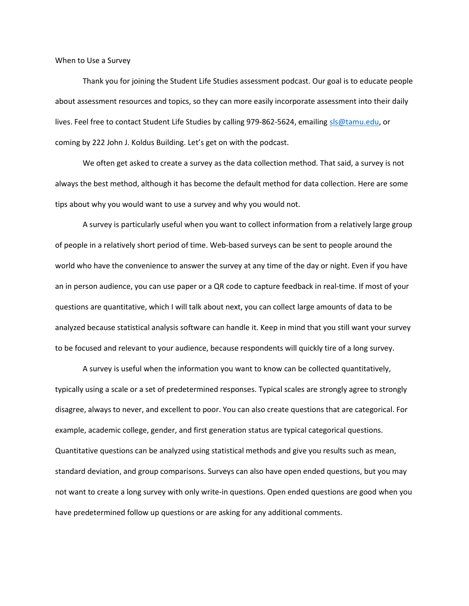When to Use a Survey

Thank you for joining the Student Life Studies assessment podcast. Our goal is to educate people about assessment resources and topics, so they can more easily incorporate assessment into their daily lives. Feel free to contact Student Life Studies by calling 979-862-5624, emailing sls@tamu.edu, or coming by 222 John J. Koldus Building. Let's get on with the podcast.

 We often get asked to create a survey as the data collection method. That said, a survey is not always the best method, although it has become the default method for data collection. Here are some tips about why you would want to use a survey and why you would not.

 A survey is particularly useful when you want to collect information from a relatively large group of people in a relatively short period of time. Web-based surveys can be sent to people around the world who have the convenience to answer the survey at any time of the day or night. Even if you have an in person audience, you can use paper or a QR code to capture feedback in real-time. If most of your questions are quantitative, which I will talk about next, you can collect large amounts of data to be analyzed because statistical analysis software can handle it. Keep in mind that you still want your survey to be focused and relevant to your audience, because respondents will quickly tire of a long survey.

A survey is useful when the information you want to know can be collected quantitatively, typically using a scale or a set of predetermined responses. Typical scales are strongly agree to strongly disagree, always to never, and excellent to poor. You can also create questions that are categorical. For example, academic college, gender, and first generation status are typical categorical questions. Quantitative questions can be analyzed using statistical methods and give you results such as mean, standard deviation, and group comparisons. Surveys can also have open ended questions, but you may not want to create a long survey with only write-in questions. Open ended questions are good when you have predetermined follow up questions or are asking for any additional comments.